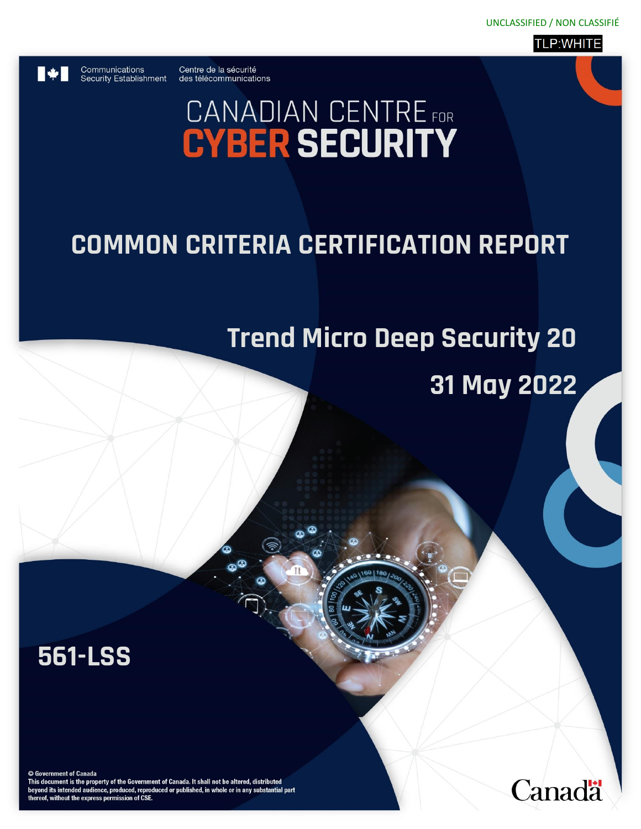

Communications

Centre de la sécurité Security Establishment des télécommunications

# **CANADIAN CENTRE** FOR

## **COMMON CRITERIA CERTIFICATION REPORT**

## **Trend Micro Deep Security 20**

## **31 May 2022**

**561-LSS**

© Government of Canada

This document is the property of the Government of Canada. It shall not be altered, distributed beyond its intended audience, produced, reproduced or published, in whole or in any substantial part thereof, without the express permission of CSE.

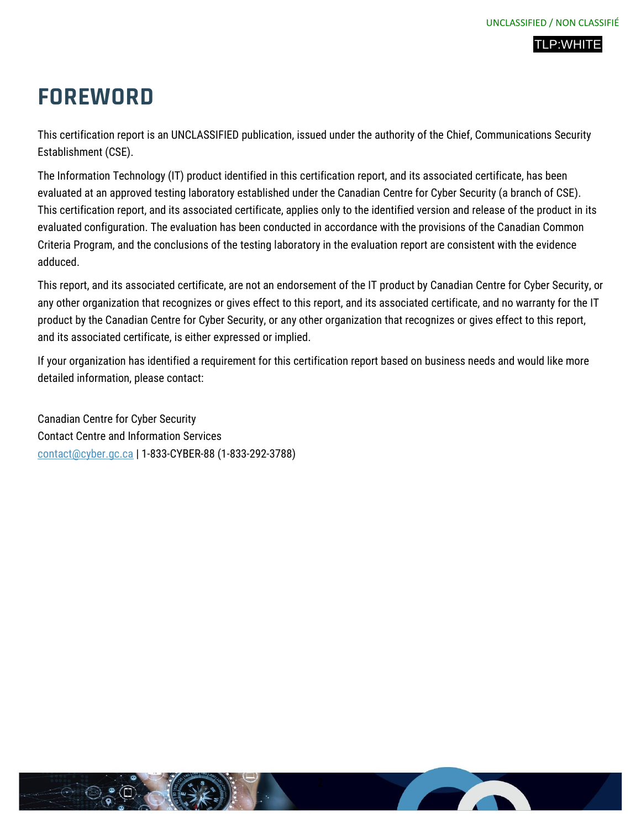

## **FOREWORD**

This certification report is an UNCLASSIFIED publication, issued under the authority of the Chief, Communications Security Establishment (CSE).

The Information Technology (IT) product identified in this certification report, and its associated certificate, has been evaluated at an approved testing laboratory established under the Canadian Centre for Cyber Security (a branch of CSE). This certification report, and its associated certificate, applies only to the identified version and release of the product in its evaluated configuration. The evaluation has been conducted in accordance with the provisions of the Canadian Common Criteria Program, and the conclusions of the testing laboratory in the evaluation report are consistent with the evidence adduced.

This report, and its associated certificate, are not an endorsement of the IT product by Canadian Centre for Cyber Security, or any other organization that recognizes or gives effect to this report, and its associated certificate, and no warranty for the IT product by the Canadian Centre for Cyber Security, or any other organization that recognizes or gives effect to this report, and its associated certificate, is either expressed or implied.

If your organization has identified a requirement for this certification report based on business needs and would like more detailed information, please contact:

Canadian Centre for Cyber Security Contact Centre and Information Services [contact@cyber.gc.ca](mailto:contact@cyber.gc.ca) | 1-833-CYBER-88 (1-833-292-3788)

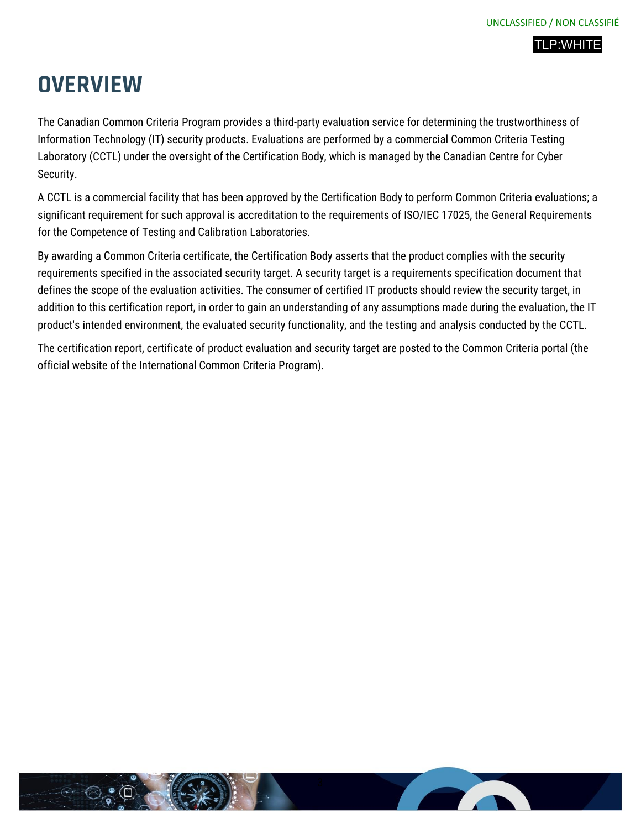## **OVERVIEW**

The Canadian Common Criteria Program provides a third-party evaluation service for determining the trustworthiness of Information Technology (IT) security products. Evaluations are performed by a commercial Common Criteria Testing Laboratory (CCTL) under the oversight of the Certification Body, which is managed by the Canadian Centre for Cyber Security.

A CCTL is a commercial facility that has been approved by the Certification Body to perform Common Criteria evaluations; a significant requirement for such approval is accreditation to the requirements of ISO/IEC 17025, the General Requirements for the Competence of Testing and Calibration Laboratories.

By awarding a Common Criteria certificate, the Certification Body asserts that the product complies with the security requirements specified in the associated security target. A security target is a requirements specification document that defines the scope of the evaluation activities. The consumer of certified IT products should review the security target, in addition to this certification report, in order to gain an understanding of any assumptions made during the evaluation, the IT product's intended environment, the evaluated security functionality, and the testing and analysis conducted by the CCTL.

The certification report, certificate of product evaluation and security target are posted to the Common Criteria portal (the official website of the International Common Criteria Program).

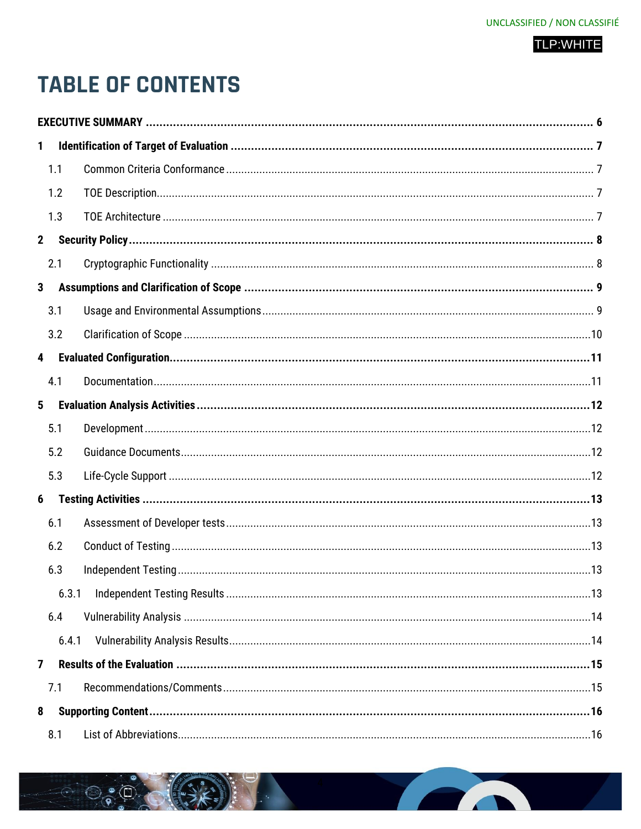## **TABLE OF CONTENTS**

| 1                       |       |  |
|-------------------------|-------|--|
|                         | 1.1   |  |
|                         | 1.2   |  |
|                         | 1.3   |  |
| 2 <sup>2</sup>          |       |  |
|                         | 2.1   |  |
| 3                       |       |  |
|                         | 3.1   |  |
|                         | 3.2   |  |
| $\overline{\mathbf{4}}$ |       |  |
|                         | 4.1   |  |
| $5\phantom{.0}$         |       |  |
|                         | 5.1   |  |
|                         | 5.2   |  |
|                         | 5.3   |  |
| 6                       |       |  |
|                         | 6.1   |  |
|                         | 6.2   |  |
|                         | 6.3   |  |
|                         | 6.3.1 |  |
|                         | 6.4   |  |
|                         | 6.4.1 |  |
| $\overline{7}$          |       |  |
|                         | 7.1   |  |
| 8                       |       |  |
|                         | 8.1   |  |

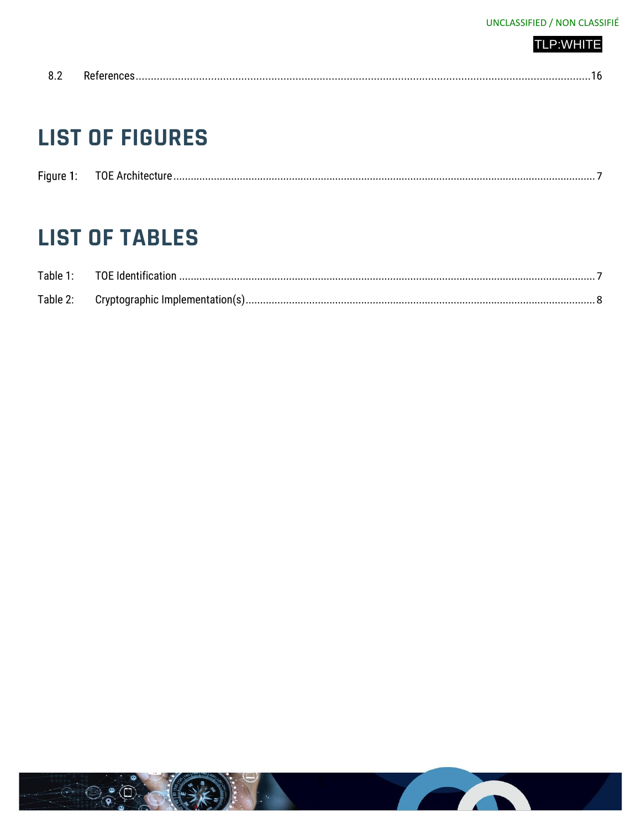| <b>TLP:WHITE</b> |  |  |  |  |
|------------------|--|--|--|--|
|                  |  |  |  |  |
|                  |  |  |  |  |
|                  |  |  |  |  |

|--|--|--|

## **LIST OF FIGURES**

| $-$ | мF<br>. |  |
|-----|---------|--|
|     |         |  |

## **LIST OF TABLES**

| Table 1: | TOE Identification.              |  |
|----------|----------------------------------|--|
| Table 2: | Cryptographic Implementation(s). |  |

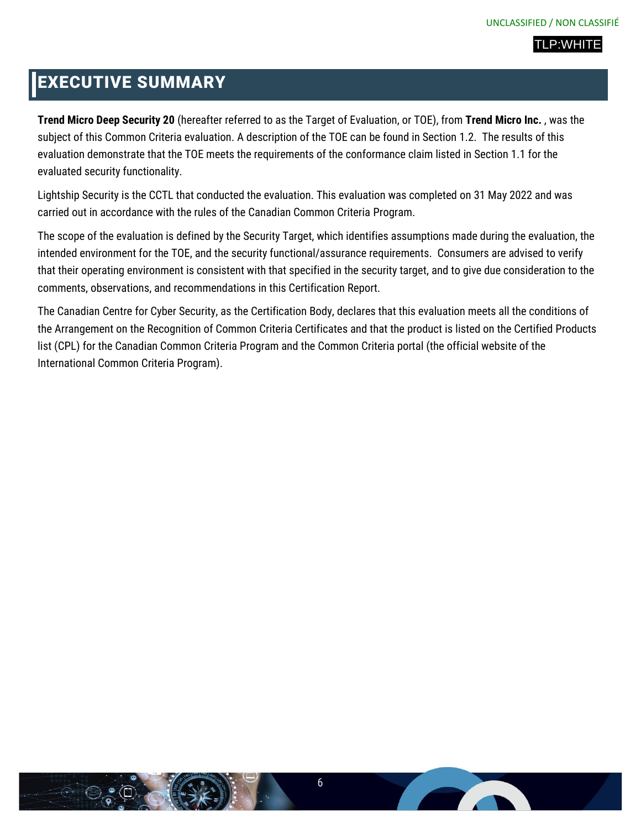## <span id="page-5-0"></span>EXECUTIVE SUMMARY

**Trend Micro Deep Security 20** (hereafter referred to as the Target of Evaluation, or TOE), from **Trend Micro Inc.** , was the subject of this Common Criteria evaluation. A description of the TOE can be found in Section 1.2. The results of this evaluation demonstrate that the TOE meets the requirements of the conformance claim listed in Section 1.1 for the evaluated security functionality.

Lightship Security is the CCTL that conducted the evaluation. This evaluation was completed on 31 May 2022 and was carried out in accordance with the rules of the Canadian Common Criteria Program.

The scope of the evaluation is defined by the Security Target, which identifies assumptions made during the evaluation, the intended environment for the TOE, and the security functional/assurance requirements. Consumers are advised to verify that their operating environment is consistent with that specified in the security target, and to give due consideration to the comments, observations, and recommendations in this Certification Report.

The Canadian Centre for Cyber Security, as the Certification Body, declares that this evaluation meets all the conditions of the Arrangement on the Recognition of Common Criteria Certificates and that the product is listed on the Certified Products list (CPL) for the Canadian Common Criteria Program and the Common Criteria portal (the official website of the International Common Criteria Program).



**The Company of the Company**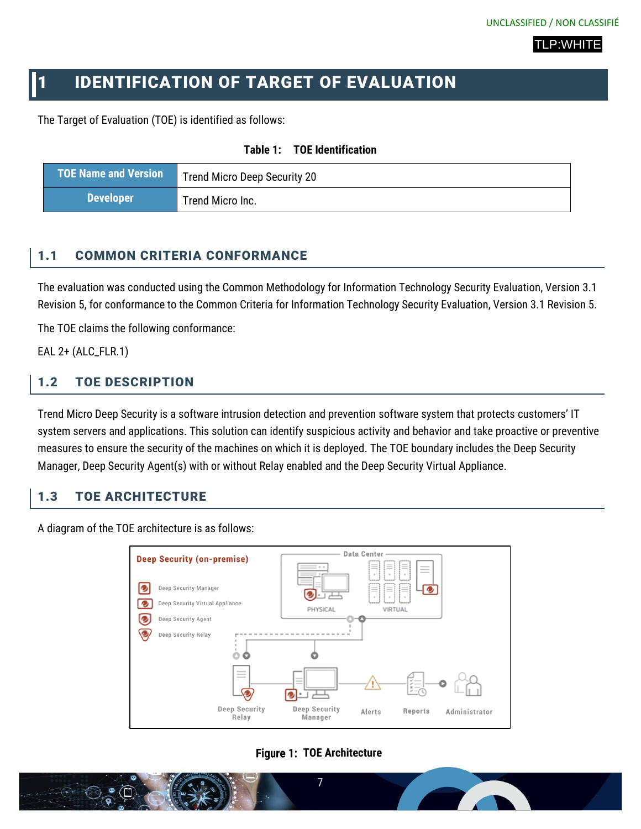## <span id="page-6-0"></span>1 IDENTIFICATION OF TARGET OF EVALUATION

<span id="page-6-5"></span>The Target of Evaluation (TOE) is identified as follows:

| Table 1: |  | <b>TOE Identification</b> |
|----------|--|---------------------------|
|----------|--|---------------------------|

| <b>TOE Name and Version</b> | Trend Micro Deep Security 20 |
|-----------------------------|------------------------------|
| <b>Developer</b>            | Trend Micro Inc.             |

#### <span id="page-6-1"></span>1.1 COMMON CRITERIA CONFORMANCE

The evaluation was conducted using the Common Methodology for Information Technology Security Evaluation, Version 3.1 Revision 5, for conformance to the Common Criteria for Information Technology Security Evaluation, Version 3.1 Revision 5.

The TOE claims the following conformance:

EAL 2+ (ALC\_FLR.1)

## <span id="page-6-2"></span>1.2 TOE DESCRIPTION

Trend Micro Deep Security is a software intrusion detection and prevention software system that protects customers' IT system servers and applications. This solution can identify suspicious activity and behavior and take proactive or preventive measures to ensure the security of the machines on which it is deployed. The TOE boundary includes the Deep Security Manager, Deep Security Agent(s) with or without Relay enabled and the Deep Security Virtual Appliance.

#### <span id="page-6-3"></span>1.3 TOE ARCHITECTURE

A diagram of the TOE architecture is as follows:



#### **Figure 1: TOE Architecture**

<span id="page-6-4"></span>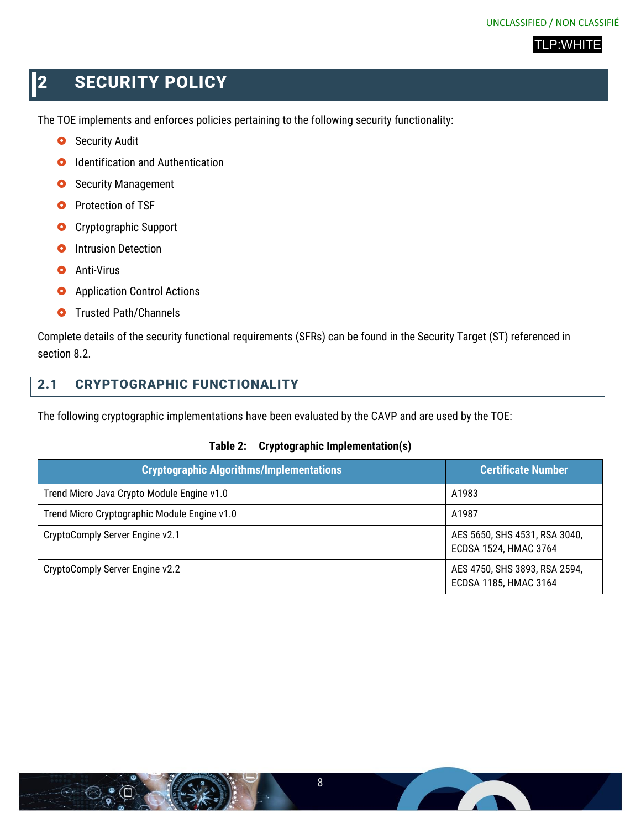## <span id="page-7-0"></span>**2 SECURITY POLICY**

The TOE implements and enforces policies pertaining to the following security functionality:

- **O** Security Audit
- **O** Identification and Authentication
- **O** Security Management
- **O** Protection of TSF
- **O** Cryptographic Support
- **O** Intrusion Detection
- **O** Anti-Virus
- **O** Application Control Actions
- **O** Trusted Path/Channels

Complete details of the security functional requirements (SFRs) can be found in the Security Target (ST) referenced in section 8.2.

## <span id="page-7-1"></span>2.1 CRYPTOGRAPHIC FUNCTIONALITY

<span id="page-7-2"></span>The following cryptographic implementations have been evaluated by the CAVP and are used by the TOE:

#### **Table 2: Cryptographic Implementation(s)**

| <b>Cryptographic Algorithms/Implementations</b> | <b>Certificate Number</b>                              |
|-------------------------------------------------|--------------------------------------------------------|
| Trend Micro Java Crypto Module Engine v1.0      | A1983                                                  |
| Trend Micro Cryptographic Module Engine v1.0    | A1987                                                  |
| CryptoComply Server Engine v2.1                 | AES 5650, SHS 4531, RSA 3040,<br>ECDSA 1524, HMAC 3764 |
| CryptoComply Server Engine v2.2                 | AES 4750, SHS 3893, RSA 2594,<br>ECDSA 1185, HMAC 3164 |

**Contract Contract Contract Contract**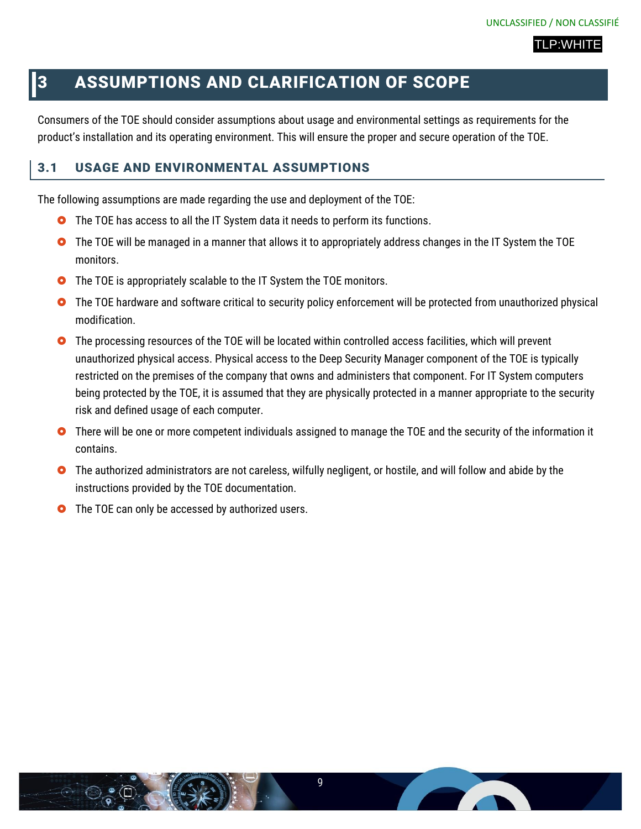## <span id="page-8-0"></span>3 ASSUMPTIONS AND CLARIFICATION OF SCOPE

Consumers of the TOE should consider assumptions about usage and environmental settings as requirements for the product's installation and its operating environment. This will ensure the proper and secure operation of the TOE.

### <span id="page-8-1"></span>3.1 USAGE AND ENVIRONMENTAL ASSUMPTIONS

The following assumptions are made regarding the use and deployment of the TOE:

- **O** The TOE has access to all the IT System data it needs to perform its functions.
- **O** The TOE will be managed in a manner that allows it to appropriately address changes in the IT System the TOE monitors.
- **O** The TOE is appropriately scalable to the IT System the TOE monitors.
- **O** The TOE hardware and software critical to security policy enforcement will be protected from unauthorized physical modification.
- **O** The processing resources of the TOE will be located within controlled access facilities, which will prevent unauthorized physical access. Physical access to the Deep Security Manager component of the TOE is typically restricted on the premises of the company that owns and administers that component. For IT System computers being protected by the TOE, it is assumed that they are physically protected in a manner appropriate to the security risk and defined usage of each computer.
- **O** There will be one or more competent individuals assigned to manage the TOE and the security of the information it contains.
- **O** The authorized administrators are not careless, wilfully negligent, or hostile, and will follow and abide by the instructions provided by the TOE documentation.
- **O** The TOE can only be accessed by authorized users.

**The Company of the Company**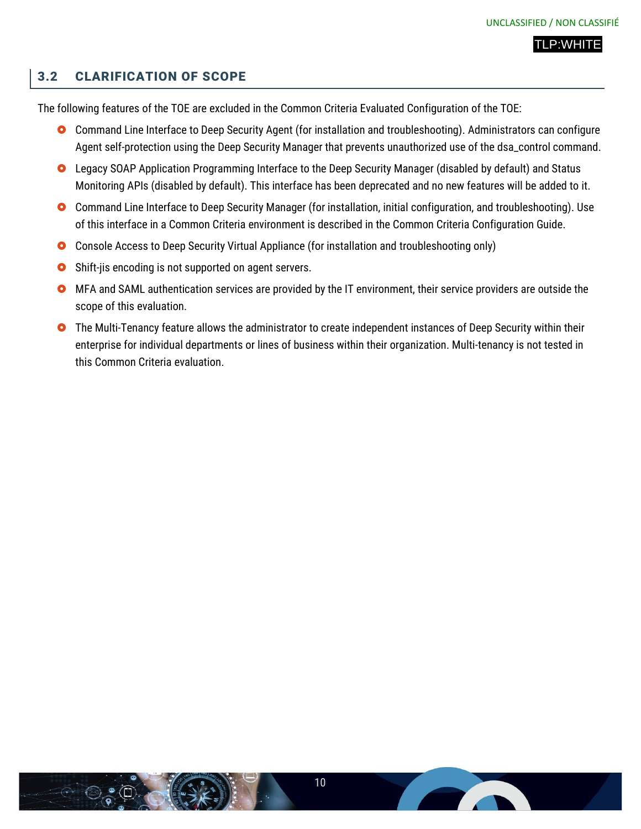#### <span id="page-9-0"></span>3.2 CLARIFICATION OF SCOPE

The following features of the TOE are excluded in the Common Criteria Evaluated Configuration of the TOE:

- Command Line Interface to Deep Security Agent (for installation and troubleshooting). Administrators can configure Agent self-protection using the Deep Security Manager that prevents unauthorized use of the dsa\_control command.
- **O** Legacy SOAP Application Programming Interface to the Deep Security Manager (disabled by default) and Status Monitoring APIs (disabled by default). This interface has been deprecated and no new features will be added to it.
- **O** Command Line Interface to Deep Security Manager (for installation, initial configuration, and troubleshooting). Use of this interface in a Common Criteria environment is described in the Common Criteria Configuration Guide.
- Console Access to Deep Security Virtual Appliance (for installation and troubleshooting only)
- **O** Shift-jis encoding is not supported on agent servers.
- MFA and SAML authentication services are provided by the IT environment, their service providers are outside the scope of this evaluation.
- **O** The Multi-Tenancy feature allows the administrator to create independent instances of Deep Security within their enterprise for individual departments or lines of business within their organization. Multi-tenancy is not tested in this Common Criteria evaluation.

**The Contract of Contract Street**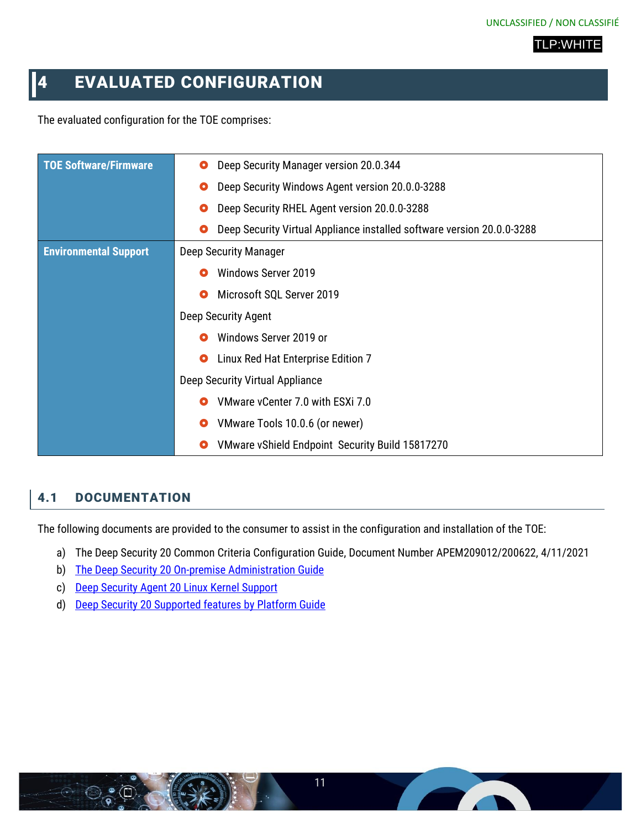## <span id="page-10-0"></span>**4 EVALUATED CONFIGURATION**

The evaluated configuration for the TOE comprises:

| <b>TOE Software/Firmware</b> | Deep Security Manager version 20.0.344<br>o                            |
|------------------------------|------------------------------------------------------------------------|
|                              | Deep Security Windows Agent version 20.0.0-3288<br>O                   |
|                              | Deep Security RHEL Agent version 20.0.0-3288<br>О                      |
|                              | Deep Security Virtual Appliance installed software version 20.0.0-3288 |
| <b>Environmental Support</b> | Deep Security Manager                                                  |
|                              | <b>Windows Server 2019</b>                                             |
|                              | Microsoft SQL Server 2019<br>O                                         |
|                              | Deep Security Agent                                                    |
|                              | Windows Server 2019 or                                                 |
|                              | Linux Red Hat Enterprise Edition 7<br>$\bullet$                        |
|                              | Deep Security Virtual Appliance                                        |
|                              | VMware vCenter 7.0 with ESXi 7.0<br>О                                  |
|                              | VMware Tools 10.0.6 (or newer)<br>О                                    |
|                              | VMware vShield Endpoint Security Build 15817270                        |

## <span id="page-10-1"></span>4.1 DOCUMENTATION

The following documents are provided to the consumer to assist in the configuration and installation of the TOE:

- a) The Deep Security 20 Common Criteria Configuration Guide, Document Number APEM209012/200622, 4/11/2021
- b) [The Deep Security 20 On-premise Administration Guide](https://help.deepsecurity.trendmicro.com/20_0/on-premise/welcome.html)
- c) [Deep Security Agent 20 Linux Kernel Support](http://files.trendmicro.com/documentation/guides/deep_security/Kernel%20Support/20.0/Deep_Security_20_0_kernels_EN.html)
- d) [Deep Security 20 Supported features by Platform Guide](https://help.deepsecurity.trendmicro.com/20_0/on-premise/supported-features-by-platform.html?Highlight=supported%20features%20by%20platform)

**The Contract of Contract of Contract of Contract of Contract of Contract of Contract of Contract o**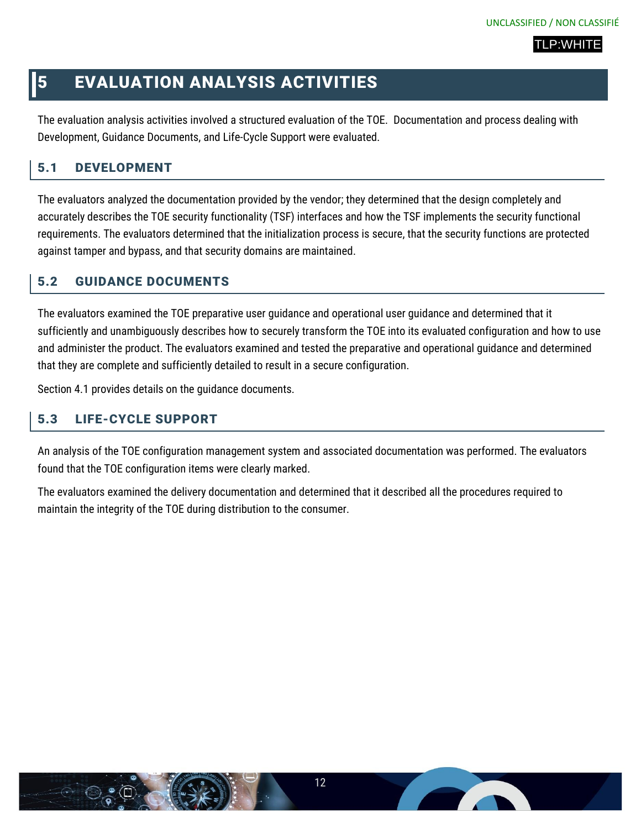## <span id="page-11-0"></span>5 EVALUATION ANALYSIS ACTIVITIES

The evaluation analysis activities involved a structured evaluation of the TOE. Documentation and process dealing with Development, Guidance Documents, and Life-Cycle Support were evaluated.

## <span id="page-11-1"></span>5.1 DEVELOPMENT

The evaluators analyzed the documentation provided by the vendor; they determined that the design completely and accurately describes the TOE security functionality (TSF) interfaces and how the TSF implements the security functional requirements. The evaluators determined that the initialization process is secure, that the security functions are protected against tamper and bypass, and that security domains are maintained.

## <span id="page-11-2"></span>5.2 GUIDANCE DOCUMENTS

The evaluators examined the TOE preparative user guidance and operational user guidance and determined that it sufficiently and unambiguously describes how to securely transform the TOE into its evaluated configuration and how to use and administer the product. The evaluators examined and tested the preparative and operational guidance and determined that they are complete and sufficiently detailed to result in a secure configuration.

Section 4.1 provides details on the guidance documents.

## <span id="page-11-3"></span>5.3 LIFE-CYCLE SUPPORT

An analysis of the TOE configuration management system and associated documentation was performed. The evaluators found that the TOE configuration items were clearly marked.

The evaluators examined the delivery documentation and determined that it described all the procedures required to maintain the integrity of the TOE during distribution to the consumer.

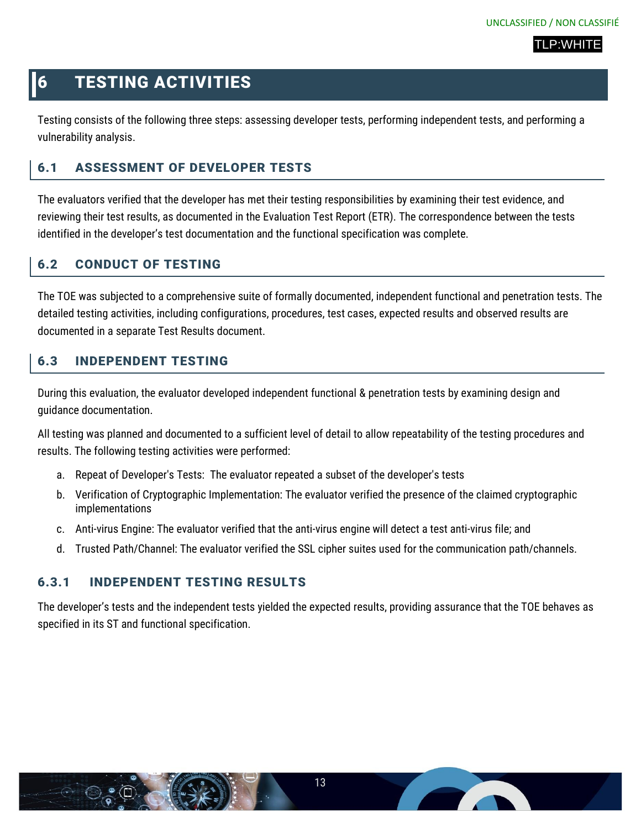## <span id="page-12-0"></span>6 TESTING ACTIVITIES

Testing consists of the following three steps: assessing developer tests, performing independent tests, and performing a vulnerability analysis.

## <span id="page-12-1"></span>6.1 ASSESSMENT OF DEVELOPER TESTS

The evaluators verified that the developer has met their testing responsibilities by examining their test evidence, and reviewing their test results, as documented in the Evaluation Test Report (ETR). The correspondence between the tests identified in the developer's test documentation and the functional specification was complete.

## <span id="page-12-2"></span>6.2 CONDUCT OF TESTING

The TOE was subjected to a comprehensive suite of formally documented, independent functional and penetration tests. The detailed testing activities, including configurations, procedures, test cases, expected results and observed results are documented in a separate Test Results document.

## <span id="page-12-3"></span>6.3 INDEPENDENT TESTING

During this evaluation, the evaluator developed independent functional & penetration tests by examining design and guidance documentation.

All testing was planned and documented to a sufficient level of detail to allow repeatability of the testing procedures and results. The following testing activities were performed:

- a. Repeat of Developer's Tests: The evaluator repeated a subset of the developer's tests
- b. Verification of Cryptographic Implementation: The evaluator verified the presence of the claimed cryptographic implementations
- c. Anti-virus Engine: The evaluator verified that the anti-virus engine will detect a test anti-virus file; and
- d. Trusted Path/Channel: The evaluator verified the SSL cipher suites used for the communication path/channels.

#### <span id="page-12-4"></span>6.3.1 INDEPENDENT TESTING RESULTS

The developer's tests and the independent tests yielded the expected results, providing assurance that the TOE behaves as specified in its ST and functional specification.

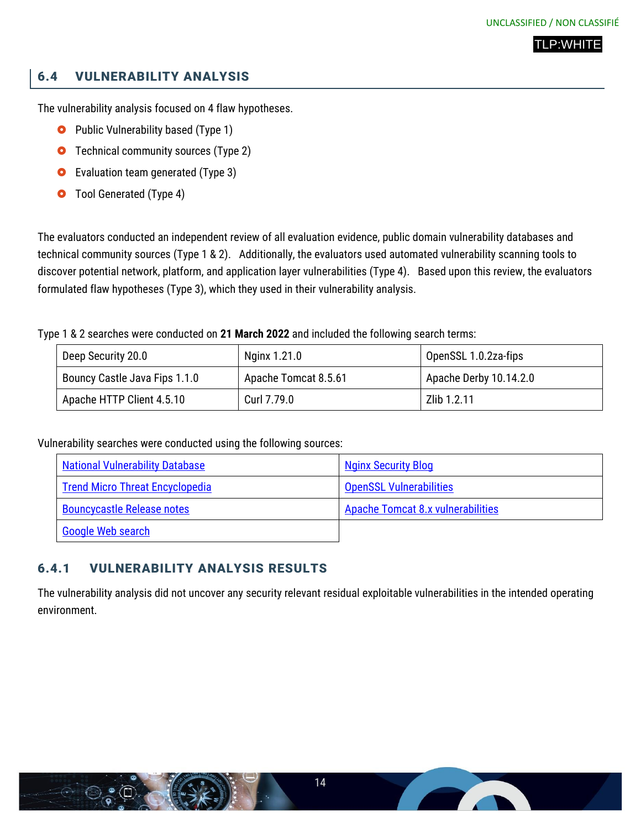## <span id="page-13-0"></span>6.4 VULNERABILITY ANALYSIS

The vulnerability analysis focused on 4 flaw hypotheses.

- **O** Public Vulnerability based (Type 1)
- **O** Technical community sources (Type 2)
- **O** Evaluation team generated (Type 3)
- **O** Tool Generated (Type 4)

The evaluators conducted an independent review of all evaluation evidence, public domain vulnerability databases and technical community sources (Type 1 & 2). Additionally, the evaluators used automated vulnerability scanning tools to discover potential network, platform, and application layer vulnerabilities (Type 4). Based upon this review, the evaluators formulated flaw hypotheses (Type 3), which they used in their vulnerability analysis.

#### Type 1 & 2 searches were conducted on **21 March 2022** and included the following search terms:

| Deep Security 20.0            | Nginx 1.21.0         | OpenSSL 1.0.2za-fips   |
|-------------------------------|----------------------|------------------------|
| Bouncy Castle Java Fips 1.1.0 | Apache Tomcat 8.5.61 | Apache Derby 10.14.2.0 |
| Apache HTTP Client 4.5.10     | Curl 7.79.0          | Zlib 1.2.11            |

Vulnerability searches were conducted using the following sources:

| <b>National Vulnerability Database</b> | <b>Nginx Security Blog</b>               |
|----------------------------------------|------------------------------------------|
| <b>Trend Micro Threat Encyclopedia</b> | <b>OpenSSL Vulnerabilities</b>           |
| <b>Bouncycastle Release notes</b>      | <b>Apache Tomcat 8.x vulnerabilities</b> |
| <b>Google Web search</b>               |                                          |

## <span id="page-13-1"></span>6.4.1 VULNERABILITY ANALYSIS RESULTS

The vulnerability analysis did not uncover any security relevant residual exploitable vulnerabilities in the intended operating environment.

**The Contract of the Contract of the Contract of The Contract of The Contract of The Contract of The Contract o**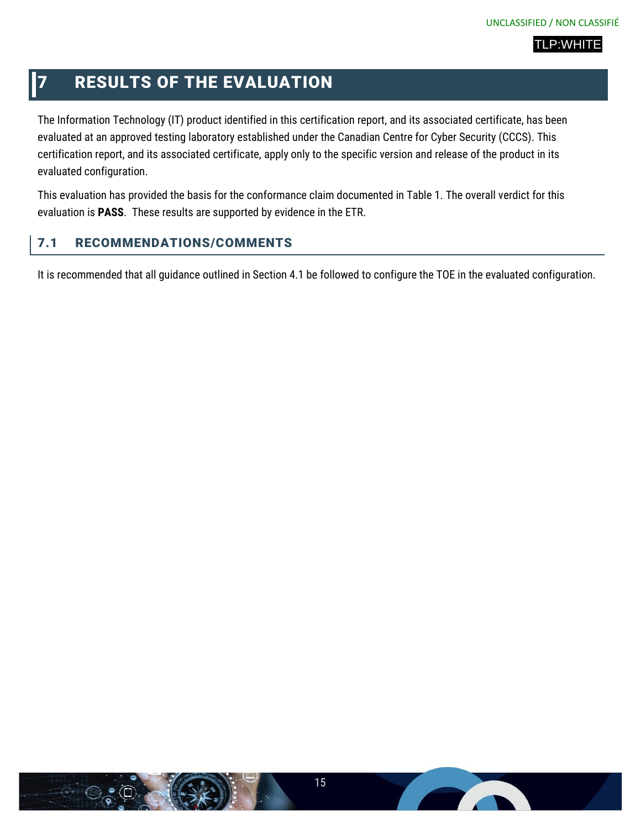## <span id="page-14-0"></span>**7 RESULTS OF THE EVALUATION**

The Information Technology (IT) product identified in this certification report, and its associated certificate, has been evaluated at an approved testing laboratory established under the Canadian Centre for Cyber Security (CCCS). This certification report, and its associated certificate, apply only to the specific version and release of the product in its evaluated configuration.

This evaluation has provided the basis for the conformance claim documented in Table 1. The overall verdict for this evaluation is **PASS**. These results are supported by evidence in the ETR.

## <span id="page-14-1"></span>7.1 RECOMMENDATIONS/COMMENTS

It is recommended that all guidance outlined in Section 4.1 be followed to configure the TOE in the evaluated configuration.

**Contract Contract Contract**